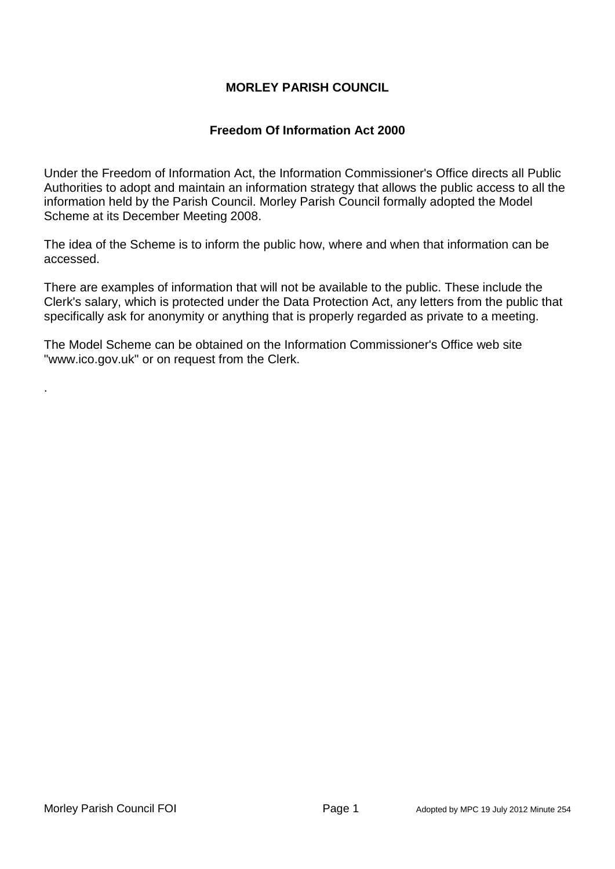# **MORLEY PARISH COUNCIL**

# **Freedom Of Information Act 2000**

Under the Freedom of Information Act, the Information Commissioner's Office directs all Public Authorities to adopt and maintain an information strategy that allows the public access to all the information held by the Parish Council. Morley Parish Council formally adopted the Model Scheme at its December Meeting 2008.

The idea of the Scheme is to inform the public how, where and when that information can be accessed.

There are examples of information that will not be available to the public. These include the Clerk's salary, which is protected under the Data Protection Act, any letters from the public that specifically ask for anonymity or anything that is properly regarded as private to a meeting.

The Model Scheme can be obtained on the Information Commissioner's Office web site ["www.ico.gov.uk"](http://www.morleyparishcouncil.co.uk/www.ico.gov.uk) or on request from the Clerk.

.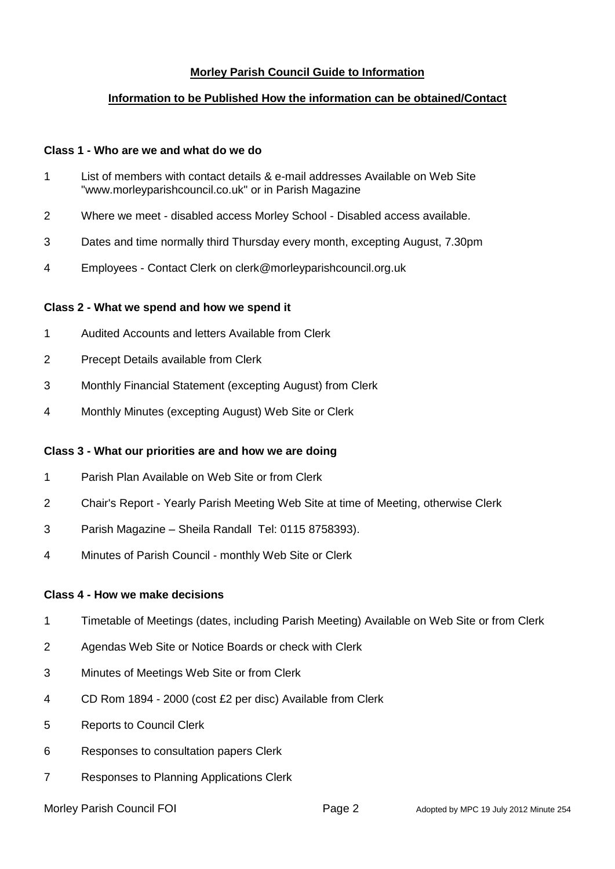## **Morley Parish Council Guide to Information**

## **Information to be Published How the information can be obtained/Contact**

#### **Class 1 - Who are we and what do we do**

- 1 List of members with contact details & e-mail addresses Available on Web Site "www.morleyparishcouncil.co.uk" or in Parish Magazine
- 2 Where we meet disabled access Morley School Disabled access available.
- 3 Dates and time normally third Thursday every month, excepting August, 7.30pm
- 4 Employees Contact Clerk on clerk@morleyparishcouncil.org.uk

## **Class 2 - What we spend and how we spend it**

- 1 Audited Accounts and letters Available from Clerk
- 2 Precept Details available from Clerk
- 3 Monthly Financial Statement (excepting August) from Clerk
- 4 Monthly Minutes (excepting August) Web Site or Clerk

### **Class 3 - What our priorities are and how we are doing**

- 1 Parish Plan Available on Web Site or from Clerk
- 2 Chair's Report Yearly Parish Meeting Web Site at time of Meeting, otherwise Clerk
- 3 Parish Magazine Sheila Randall Tel: 0115 8758393).
- 4 Minutes of Parish Council monthly Web Site or Clerk

### **Class 4 - How we make decisions**

- 1 Timetable of Meetings (dates, including Parish Meeting) Available on Web Site or from Clerk
- 2 Agendas Web Site or Notice Boards or check with Clerk
- 3 Minutes of Meetings Web Site or from Clerk
- 4 CD Rom 1894 2000 (cost £2 per disc) Available from Clerk
- 5 Reports to Council Clerk
- 6 Responses to consultation papers Clerk
- 7 Responses to Planning Applications Clerk